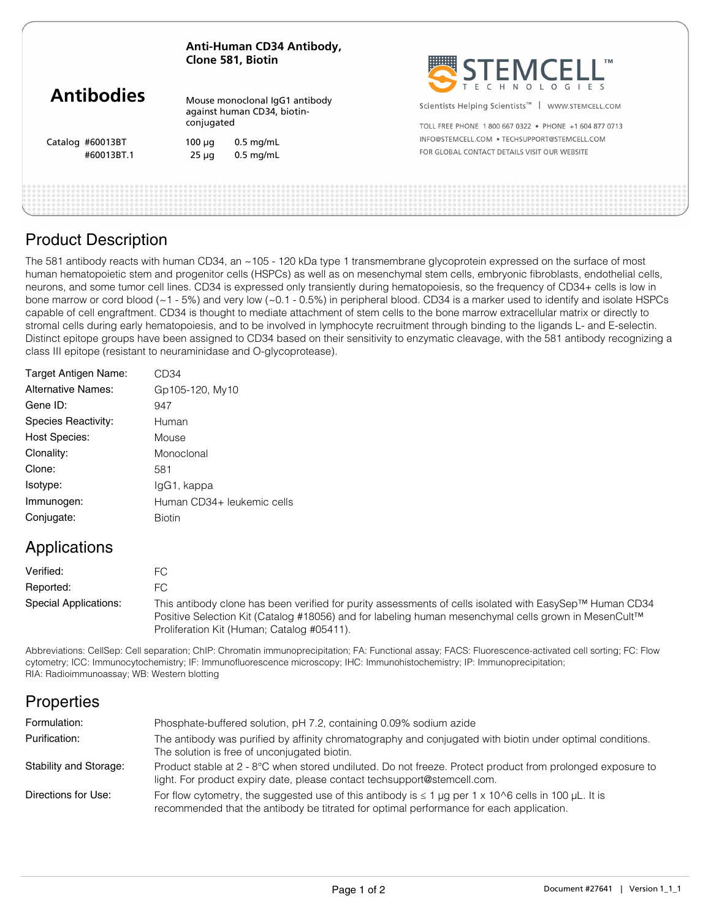#### **Anti-Human CD34 Antibody, Clone 581, Biotin**

| <b>Antibodies</b> |  |
|-------------------|--|
|-------------------|--|

Catalog #60013BT

Mouse monoclonal IgG1 antibody against human CD34, biotinconjugated

100 μg 0.5 mg/mL #60013BT.1 25 μg 0.5 mg/mL



Scientists Helping Scientists<sup>™</sup> | WWW.STEMCELL.COM

TOLL FREE PHONE 1 800 667 0322 · PHONE +1 604 877 0713 INFO@STEMCELL.COM . TECHSUPPORT@STEMCELL.COM FOR GLOBAL CONTACT DETAILS VISIT OUR WERSITE

| <b>Product Description</b> |  |
|----------------------------|--|
|                            |  |

The 581 antibody reacts with human CD34, an ~105 - 120 kDa type 1 transmembrane glycoprotein expressed on the surface of most human hematopoietic stem and progenitor cells (HSPCs) as well as on mesenchymal stem cells, embryonic fibroblasts, endothelial cells, neurons, and some tumor cell lines. CD34 is expressed only transiently during hematopoiesis, so the frequency of CD34+ cells is low in bone marrow or cord blood (~1 - 5%) and very low (~0.1 - 0.5%) in peripheral blood. CD34 is a marker used to identify and isolate HSPCs capable of cell engraftment. CD34 is thought to mediate attachment of stem cells to the bone marrow extracellular matrix or directly to stromal cells during early hematopoiesis, and to be involved in lymphocyte recruitment through binding to the ligands L- and E-selectin. Distinct epitope groups have been assigned to CD34 based on their sensitivity to enzymatic cleavage, with the 581 antibody recognizing a class III epitope (resistant to neuraminidase and O-glycoprotease).

| Target Antigen Name: | CD34                       |
|----------------------|----------------------------|
| Alternative Names:   | Gp105-120, My10            |
| Gene ID:             | 947                        |
| Species Reactivity:  | Human                      |
| <b>Host Species:</b> | Mouse                      |
| Clonality:           | Monoclonal                 |
| Clone:               | 581                        |
| Isotype:             | lgG1, kappa                |
| Immunogen:           | Human CD34+ leukemic cells |
| Conjugate:           | <b>Biotin</b>              |
|                      |                            |

## Applications

| Verified:             | FC.                                                                                                                                                                                                                                                           |  |
|-----------------------|---------------------------------------------------------------------------------------------------------------------------------------------------------------------------------------------------------------------------------------------------------------|--|
| Reported:             | FC.                                                                                                                                                                                                                                                           |  |
| Special Applications: | This antibody clone has been verified for purity assessments of cells isolated with EasySep™ Human CD34<br>Positive Selection Kit (Catalog #18056) and for labeling human mesenchymal cells grown in MesenCult™<br>Proliferation Kit (Human; Catalog #05411). |  |

Abbreviations: CellSep: Cell separation; ChIP: Chromatin immunoprecipitation; FA: Functional assay; FACS: Fluorescence-activated cell sorting; FC: Flow cytometry; ICC: Immunocytochemistry; IF: Immunofluorescence microscopy; IHC: Immunohistochemistry; IP: Immunoprecipitation; RIA: Radioimmunoassay; WB: Western blotting

# **Properties**

| Formulation:           | Phosphate-buffered solution, pH 7.2, containing 0.09% sodium azide                                                                                                                                   |
|------------------------|------------------------------------------------------------------------------------------------------------------------------------------------------------------------------------------------------|
| Purification:          | The antibody was purified by affinity chromatography and conjugated with biotin under optimal conditions.<br>The solution is free of unconjugated biotin.                                            |
| Stability and Storage: | Product stable at 2 - 8°C when stored undiluted. Do not freeze. Protect product from prolonged exposure to<br>light. For product expiry date, please contact techsupport@stemcell.com.               |
| Directions for Use:    | For flow cytometry, the suggested use of this antibody is $\leq 1$ µg per 1 x 10^6 cells in 100 µL. It is<br>recommended that the antibody be titrated for optimal performance for each application. |